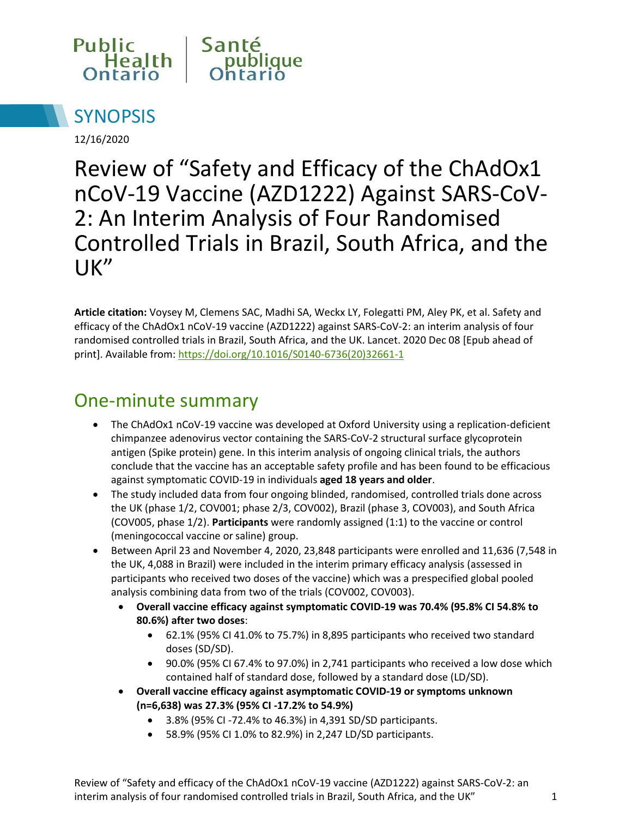



12/16/2020

Review of "Safety and Efficacy of the ChAdOx1 nCoV-19 Vaccine (AZD1222) Against SARS-CoV-2: An Interim Analysis of Four Randomised Controlled Trials in Brazil, South Africa, and the UK"

**Article citation:** Voysey M, Clemens SAC, Madhi SA, Weckx LY, Folegatti PM, Aley PK, et al. Safety and efficacy of the ChAdOx1 nCoV-19 vaccine (AZD1222) against SARS-CoV-2: an interim analysis of four randomised controlled trials in Brazil, South Africa, and the UK. Lancet. 2020 Dec 08 [Epub ahead of print]. Available from: https://doi.org/10.1016/S0140-6736(20)32661-1

#### One-minute summary

- The ChAdOx1 nCoV-19 vaccine was developed at Oxford University using a replication-deficient chimpanzee adenovirus vector containing the SARS-CoV-2 structural surface glycoprotein antigen (Spike protein) gene. In this interim analysis of ongoing clinical trials, the authors conclude that the vaccine has an acceptable safety profile and has been found to be efficacious against symptomatic COVID-19 in individuals **aged 18 years and older**.
- The study included data from four ongoing blinded, randomised, controlled trials done across the UK (phase 1/2, COV001; phase 2/3, COV002), Brazil (phase 3, COV003), and South Africa (COV005, phase 1/2). **Participants** were randomly assigned (1:1) to the vaccine or control (meningococcal vaccine or saline) group.
- Between April 23 and November 4, 2020, 23,848 participants were enrolled and 11,636 (7,548 in the UK, 4,088 in Brazil) were included in the interim primary efficacy analysis (assessed in participants who received two doses of the vaccine) which was a prespecified global pooled analysis combining data from two of the trials (COV002, COV003).
	- **Overall vaccine efficacy against symptomatic COVID-19 was 70.4% (95.8% CI 54.8% to 80.6%) after two doses**:
		- 62.1% (95% CI 41.0% to 75.7%) in 8,895 participants who received two standard doses (SD/SD).
		- 90.0% (95% CI 67.4% to 97.0%) in 2,741 participants who received a low dose which contained half of standard dose, followed by a standard dose (LD/SD).
	- **Overall vaccine efficacy against asymptomatic COVID-19 or symptoms unknown (n=6,638) was 27.3% (95% CI -17.2% to 54.9%)** 
		- 3.8% (95% CI -72.4% to 46.3%) in 4,391 SD/SD participants.
		- 58.9% (95% CI 1.0% to 82.9%) in 2,247 LD/SD participants.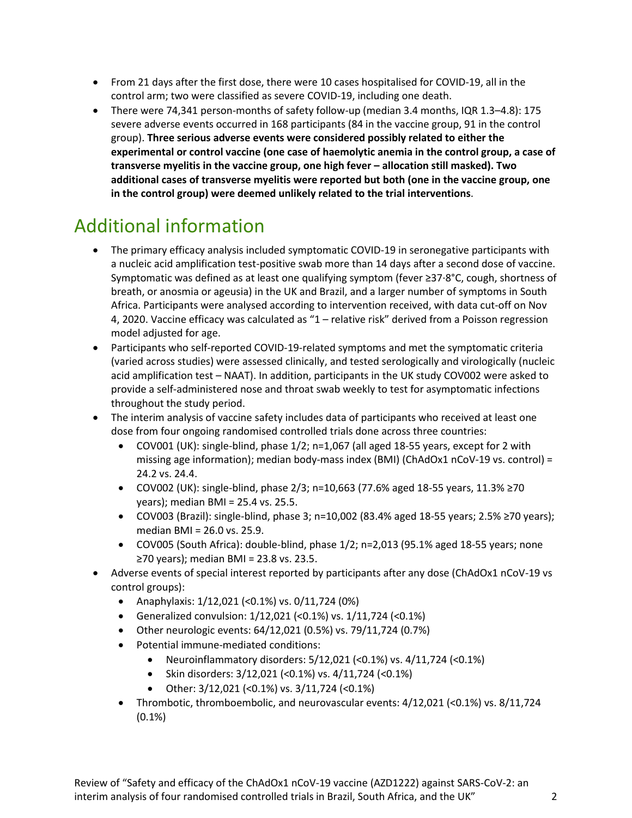- From 21 days after the first dose, there were 10 cases hospitalised for COVID-19, all in the control arm; two were classified as severe COVID-19, including one death.
- There were 74,341 person-months of safety follow-up (median 3.4 months, IQR 1.3–4.8): 175 severe adverse events occurred in 168 participants (84 in the vaccine group, 91 in the control group). **Three serious adverse events were considered possibly related to either the experimental or control vaccine (one case of haemolytic anemia in the control group, a case of transverse myelitis in the vaccine group, one high fever – allocation still masked). Two additional cases of transverse myelitis were reported but both (one in the vaccine group, one in the control group) were deemed unlikely related to the trial interventions**.

### Additional information

- The primary efficacy analysis included symptomatic COVID-19 in seronegative participants with a nucleic acid amplification test-positive swab more than 14 days after a second dose of vaccine. Symptomatic was defined as at least one qualifying symptom (fever ≥37·8°C, cough, shortness of breath, or anosmia or ageusia) in the UK and Brazil, and a larger number of symptoms in South Africa. Participants were analysed according to intervention received, with data cut-off on Nov 4, 2020. Vaccine efficacy was calculated as "1 – relative risk" derived from a Poisson regression model adjusted for age.
- Participants who self-reported COVID-19-related symptoms and met the symptomatic criteria (varied across studies) were assessed clinically, and tested serologically and virologically (nucleic acid amplification test – NAAT). In addition, participants in the UK study COV002 were asked to provide a self-administered nose and throat swab weekly to test for asymptomatic infections throughout the study period.
- The interim analysis of vaccine safety includes data of participants who received at least one dose from four ongoing randomised controlled trials done across three countries:
	- COV001 (UK): single-blind, phase 1/2; n=1,067 (all aged 18-55 years, except for 2 with missing age information); median body-mass index (BMI) (ChAdOx1 nCoV-19 vs. control) = 24.2 vs. 24.4.
	- COV002 (UK): single-blind, phase 2/3; n=10,663 (77.6% aged 18-55 years, 11.3% ≥70 years); median BMI = 25.4 vs. 25.5.
	- $\bullet$  COV003 (Brazil): single-blind, phase 3; n=10,002 (83.4% aged 18-55 years; 2.5% ≥70 years); median BMI = 26.0 vs. 25.9.
	- COV005 (South Africa): double-blind, phase 1/2; n=2,013 (95.1% aged 18-55 years; none ≥70 years); median BMI = 23.8 vs. 23.5.
- Adverse events of special interest reported by participants after any dose (ChAdOx1 nCoV-19 vs control groups):
	- Anaphylaxis:  $1/12,021$  (<0.1%) vs.  $0/11,724$  (0%)
	- Generalized convulsion: 1/12,021 (<0.1%) vs. 1/11,724 (<0.1%)
	- Other neurologic events: 64/12,021 (0.5%) vs. 79/11,724 (0.7%)
	- Potential immune-mediated conditions:
		- Neuroinflammatory disorders:  $5/12,021$  (<0.1%) vs.  $4/11,724$  (<0.1%)
		- Skin disorders: 3/12,021 (<0.1%) vs. 4/11,724 (<0.1%)
		- Other: 3/12,021 (<0.1%) vs. 3/11,724 (<0.1%)
	- Thrombotic, thromboembolic, and neurovascular events: 4/12,021 (<0.1%) vs. 8/11,724 (0.1%)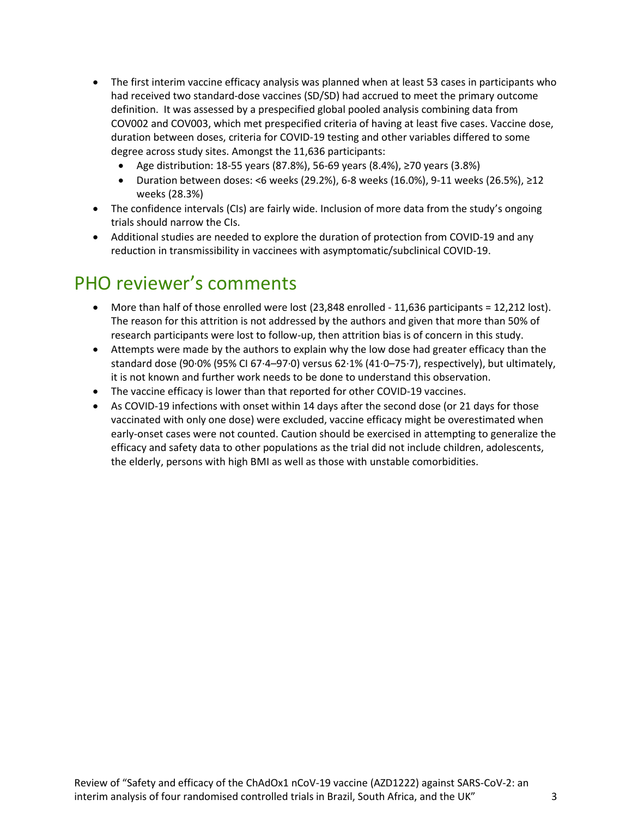- The first interim vaccine efficacy analysis was planned when at least 53 cases in participants who had received two standard-dose vaccines (SD/SD) had accrued to meet the primary outcome definition. It was assessed by a prespecified global pooled analysis combining data from COV002 and COV003, which met prespecified criteria of having at least five cases. Vaccine dose, duration between doses, criteria for COVID-19 testing and other variables differed to some degree across study sites. Amongst the 11,636 participants:
	- Age distribution: 18-55 years (87.8%), 56-69 years (8.4%), ≥70 years (3.8%)
	- $\bullet$  Duration between doses: <6 weeks (29.2%), 6-8 weeks (16.0%), 9-11 weeks (26.5%), ≥12 weeks (28.3%)
- The confidence intervals (CIs) are fairly wide. Inclusion of more data from the study's ongoing trials should narrow the CIs.
- Additional studies are needed to explore the duration of protection from COVID-19 and any reduction in transmissibility in vaccinees with asymptomatic/subclinical COVID-19.

### PHO reviewer's comments

- More than half of those enrolled were lost (23,848 enrolled 11,636 participants = 12,212 lost). The reason for this attrition is not addressed by the authors and given that more than 50% of research participants were lost to follow-up, then attrition bias is of concern in this study.
- Attempts were made by the authors to explain why the low dose had greater efficacy than the standard dose (90·0% (95% CI 67·4–97·0) versus 62·1% (41·0–75·7), respectively), but ultimately, it is not known and further work needs to be done to understand this observation.
- The vaccine efficacy is lower than that reported for other COVID-19 vaccines.
- As COVID-19 infections with onset within 14 days after the second dose (or 21 days for those vaccinated with only one dose) were excluded, vaccine efficacy might be overestimated when early-onset cases were not counted. Caution should be exercised in attempting to generalize the efficacy and safety data to other populations as the trial did not include children, adolescents, the elderly, persons with high BMI as well as those with unstable comorbidities.